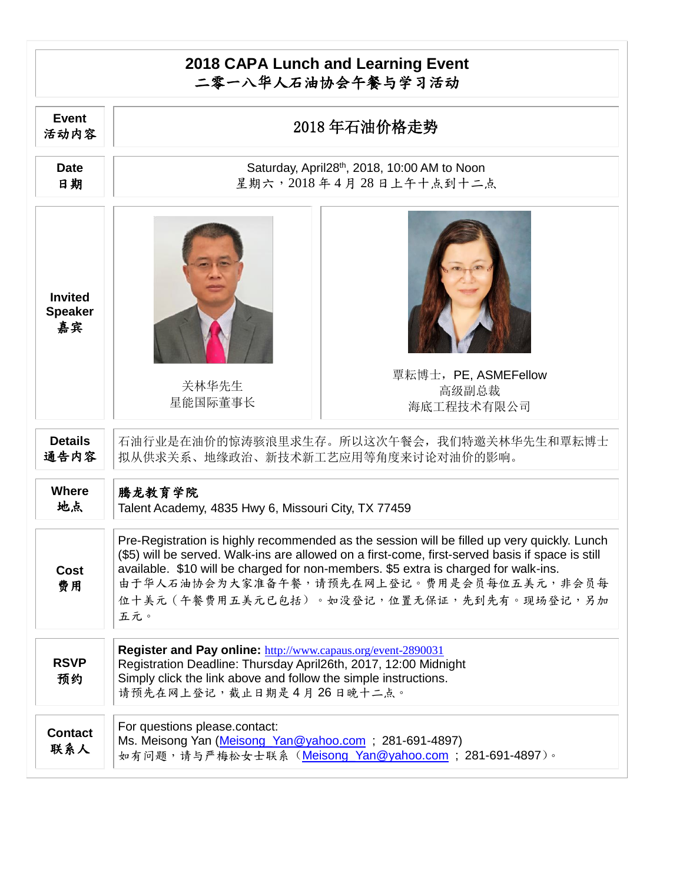## **2018 CAPA Lunch and Learning Event** 二零一八华人石油协会午餐与学习活动

| <b>Event</b><br>活动内容                   | 2018年石油价格走势                                                                                                                                                                                                                                                                                                                                                                            |
|----------------------------------------|----------------------------------------------------------------------------------------------------------------------------------------------------------------------------------------------------------------------------------------------------------------------------------------------------------------------------------------------------------------------------------------|
| <b>Date</b><br>日期                      | Saturday, April28 <sup>th</sup> , 2018, 10:00 AM to Noon<br>星期六,2018年4月28日上午十点到十二点                                                                                                                                                                                                                                                                                                     |
| <b>Invited</b><br><b>Speaker</b><br>嘉宾 | 覃耘博士, PE, ASMEFellow<br>关林华先生<br>高级副总裁<br>星能国际董事长<br>海底工程技术有限公司                                                                                                                                                                                                                                                                                                                        |
| <b>Details</b><br>通告内容                 | 石油行业是在油价的惊涛骇浪里求生存。所以这次午餐会,我们特邀关林华先生和覃耘博士<br>拟从供求关系、地缘政治、新技术新工艺应用等角度来讨论对油价的影响。                                                                                                                                                                                                                                                                                                          |
| <b>Where</b><br>地点                     | 腾龙教育学院<br>Talent Academy, 4835 Hwy 6, Missouri City, TX 77459                                                                                                                                                                                                                                                                                                                          |
| <b>Cost</b><br>费用                      | Pre-Registration is highly recommended as the session will be filled up very quickly. Lunch<br>(\$5) will be served. Walk-ins are allowed on a first-come, first-served basis if space is still<br>available. \$10 will be charged for non-members. \$5 extra is charged for walk-ins.<br>由于华人石油协会为大家准备午餐,请预先在网上登记。费用是会员每位五美元,非会员每<br>位十美元 (午餐费用五美元已包括)。如没登记,位置无保证,先到先有。现场登记,另加<br>五元。 |
| <b>RSVP</b><br>预约                      | Register and Pay online: http://www.capaus.org/event-2890031<br>Registration Deadline: Thursday April26th, 2017, 12:00 Midnight<br>Simply click the link above and follow the simple instructions.<br>请预先在网上登记,截止日期是4月26日晚十二点。                                                                                                                                                         |
| <b>Contact</b><br>联系人                  | For questions please.contact:<br>Ms. Meisong Yan (Meisong Yan@yahoo.com; 281-691-4897)<br>如有问题,请与严梅松女士联系(Meisong Yan@yahoo.com;281-691-4897)。                                                                                                                                                                                                                                          |